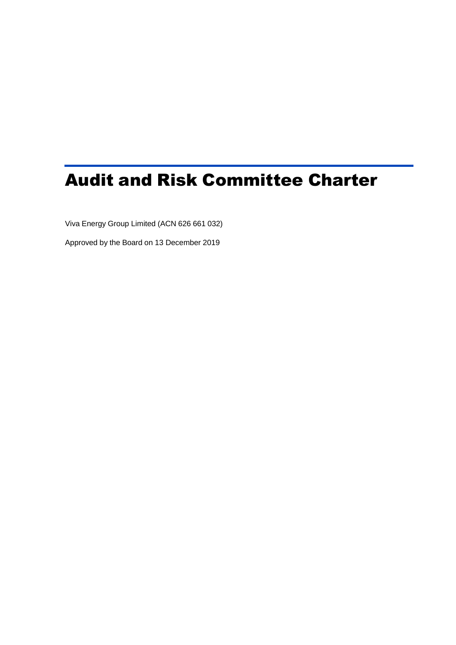# Audit and Risk Committee Charter

Viva Energy Group Limited (ACN 626 661 032)

Approved by the Board on 13 December 2019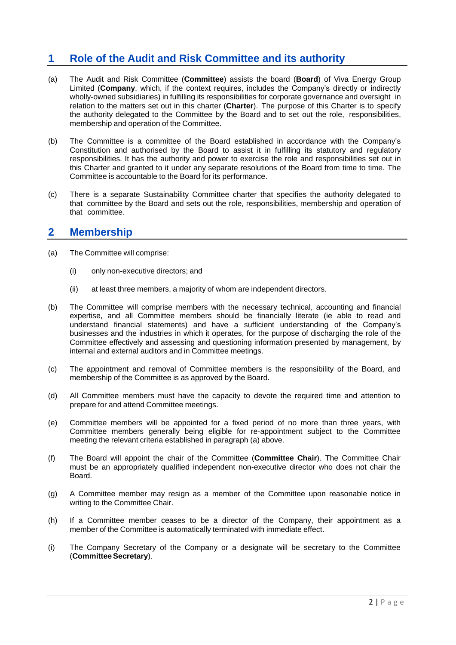# **1 Role of the Audit and Risk Committee and its authority**

- (a) The Audit and Risk Committee (**Committee**) assists the board (**Board**) of Viva Energy Group Limited (**Company**, which, if the context requires, includes the Company's directly or indirectly wholly-owned subsidiaries) in fulfilling its responsibilities for corporate governance and oversight in relation to the matters set out in this charter (**Charter**). The purpose of this Charter is to specify the authority delegated to the Committee by the Board and to set out the role, responsibilities, membership and operation of the Committee.
- (b) The Committee is a committee of the Board established in accordance with the Company's Constitution and authorised by the Board to assist it in fulfilling its statutory and regulatory responsibilities. It has the authority and power to exercise the role and responsibilities set out in this Charter and granted to it under any separate resolutions of the Board from time to time. The Committee is accountable to the Board for its performance.
- (c) There is a separate Sustainability Committee charter that specifies the authority delegated to that committee by the Board and sets out the role, responsibilities, membership and operation of that committee.

#### **2 Membership**

- (a) The Committee will comprise:
	- (i) only non-executive directors; and
	- (ii) at least three members, a majority of whom are independent directors.
- (b) The Committee will comprise members with the necessary technical, accounting and financial expertise, and all Committee members should be financially literate (ie able to read and understand financial statements) and have a sufficient understanding of the Company's businesses and the industries in which it operates, for the purpose of discharging the role of the Committee effectively and assessing and questioning information presented by management, by internal and external auditors and in Committee meetings.
- (c) The appointment and removal of Committee members is the responsibility of the Board, and membership of the Committee is as approved by the Board.
- (d) All Committee members must have the capacity to devote the required time and attention to prepare for and attend Committee meetings.
- (e) Committee members will be appointed for a fixed period of no more than three years, with Committee members generally being eligible for re-appointment subject to the Committee meeting the relevant criteria established in paragraph (a) above.
- (f) The Board will appoint the chair of the Committee (**Committee Chair**). The Committee Chair must be an appropriately qualified independent non-executive director who does not chair the Board.
- (g) A Committee member may resign as a member of the Committee upon reasonable notice in writing to the Committee Chair.
- (h) If a Committee member ceases to be a director of the Company, their appointment as a member of the Committee is automatically terminated with immediate effect.
- (i) The Company Secretary of the Company or a designate will be secretary to the Committee (**CommitteeSecretary**).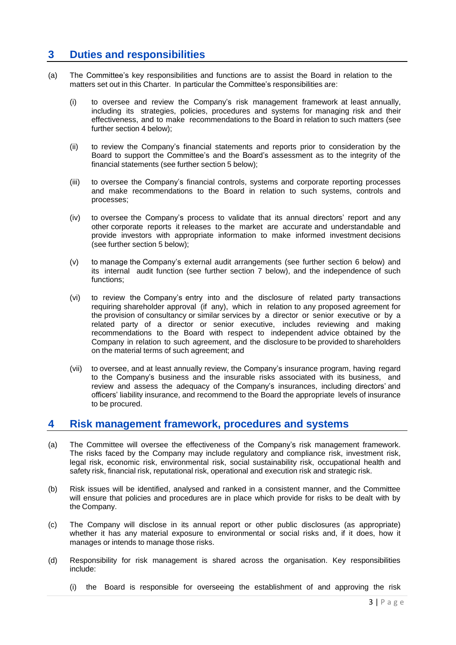## **3 Duties and responsibilities**

- (a) The Committee's key responsibilities and functions are to assist the Board in relation to the matters set out in this Charter. In particular the Committee's responsibilities are:
	- (i) to oversee and review the Company's risk management framework at least annually, including its strategies, policies, procedures and systems for managing risk and their effectiveness, and to make recommendations to the Board in relation to such matters (see further section 4 below);
	- (ii) to review the Company's financial statements and reports prior to consideration by the Board to support the Committee's and the Board's assessment as to the integrity of the financial statements (see further section 5 below);
	- (iii) to oversee the Company's financial controls, systems and corporate reporting processes and make recommendations to the Board in relation to such systems, controls and processes;
	- (iv) to oversee the Company's process to validate that its annual directors' report and any other corporate reports it releases to the market are accurate and understandable and provide investors with appropriate information to make informed investment decisions (see further section 5 below);
	- (v) to manage the Company's external audit arrangements (see further section 6 below) and its internal audit function (see further section 7 below), and the independence of such functions;
	- (vi) to review the Company's entry into and the disclosure of related party transactions requiring shareholder approval (if any), which in relation to any proposed agreement for the provision of consultancy or similar services by a director or senior executive or by a related party of a director or senior executive, includes reviewing and making recommendations to the Board with respect to independent advice obtained by the Company in relation to such agreement, and the disclosure to be provided to shareholders on the material terms of such agreement; and
	- (vii) to oversee, and at least annually review, the Company's insurance program, having regard to the Company's business and the insurable risks associated with its business, and review and assess the adequacy of the Company's insurances, including directors' and officers' liability insurance, and recommend to the Board the appropriate levels of insurance to be procured.

#### **4 Risk management framework, procedures and systems**

- (a) The Committee will oversee the effectiveness of the Company's risk management framework. The risks faced by the Company may include regulatory and compliance risk, investment risk, legal risk, economic risk, environmental risk, social sustainability risk, occupational health and safety risk, financial risk, reputational risk, operational and execution risk and strategic risk.
- (b) Risk issues will be identified, analysed and ranked in a consistent manner, and the Committee will ensure that policies and procedures are in place which provide for risks to be dealt with by the Company.
- (c) The Company will disclose in its annual report or other public disclosures (as appropriate) whether it has any material exposure to environmental or social risks and, if it does, how it manages or intends to manage those risks.
- (d) Responsibility for risk management is shared across the organisation. Key responsibilities include:
	- (i) the Board is responsible for overseeing the establishment of and approving the risk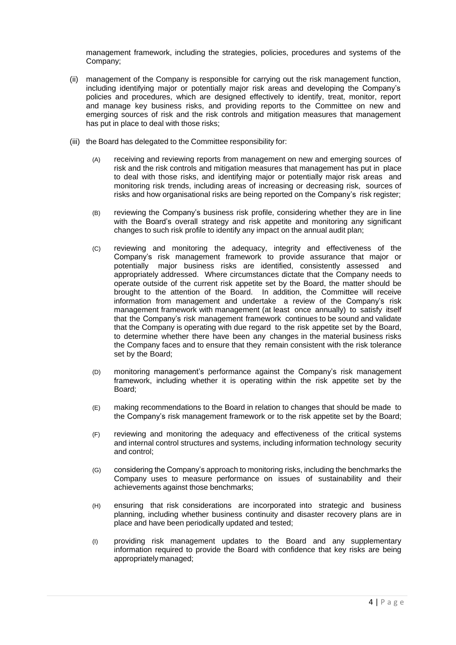management framework, including the strategies, policies, procedures and systems of the Company;

- (ii) management of the Company is responsible for carrying out the risk management function, including identifying major or potentially major risk areas and developing the Company's policies and procedures, which are designed effectively to identify, treat, monitor, report and manage key business risks, and providing reports to the Committee on new and emerging sources of risk and the risk controls and mitigation measures that management has put in place to deal with those risks;
- (iii) the Board has delegated to the Committee responsibility for:
	- (A) receiving and reviewing reports from management on new and emerging sources of risk and the risk controls and mitigation measures that management has put in place to deal with those risks, and identifying major or potentially major risk areas and monitoring risk trends, including areas of increasing or decreasing risk, sources of risks and how organisational risks are being reported on the Company's risk register;
	- (B) reviewing the Company's business risk profile, considering whether they are in line with the Board's overall strategy and risk appetite and monitoring any significant changes to such risk profile to identify any impact on the annual audit plan;
	- (C) reviewing and monitoring the adequacy, integrity and effectiveness of the Company's risk management framework to provide assurance that major or potentially major business risks are identified, consistently assessed and appropriately addressed. Where circumstances dictate that the Company needs to operate outside of the current risk appetite set by the Board, the matter should be brought to the attention of the Board. In addition, the Committee will receive information from management and undertake a review of the Company's risk management framework with management (at least once annually) to satisfy itself that the Company's risk management framework continues to be sound and validate that the Company is operating with due regard to the risk appetite set by the Board, to determine whether there have been any changes in the material business risks the Company faces and to ensure that they remain consistent with the risk tolerance set by the Board;
	- (D) monitoring management's performance against the Company's risk management framework, including whether it is operating within the risk appetite set by the Board;
	- (E) making recommendations to the Board in relation to changes that should be made to the Company's risk management framework or to the risk appetite set by the Board;
	- (F) reviewing and monitoring the adequacy and effectiveness of the critical systems and internal control structures and systems, including information technology security and control;
	- (G) considering the Company's approach to monitoring risks, including the benchmarks the Company uses to measure performance on issues of sustainability and their achievements against those benchmarks;
	- (H) ensuring that risk considerations are incorporated into strategic and business planning, including whether business continuity and disaster recovery plans are in place and have been periodically updated and tested;
	- (I) providing risk management updates to the Board and any supplementary information required to provide the Board with confidence that key risks are being appropriately managed;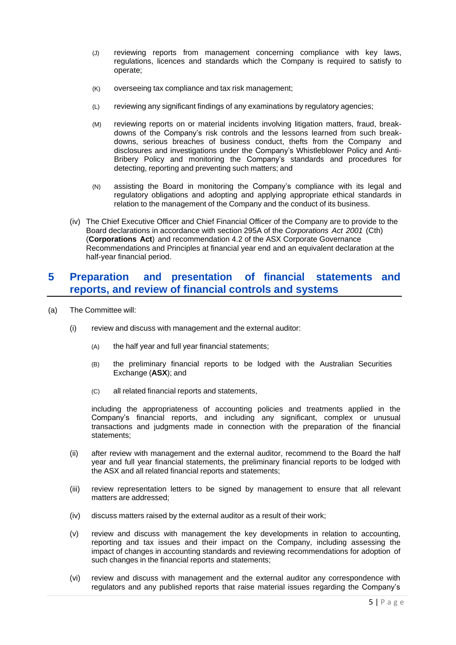- (J) reviewing reports from management concerning compliance with key laws, regulations, licences and standards which the Company is required to satisfy to operate;
- (K) overseeing tax compliance and tax risk management;
- (L) reviewing any significant findings of any examinations by regulatory agencies;
- (M) reviewing reports on or material incidents involving litigation matters, fraud, breakdowns of the Company's risk controls and the lessons learned from such breakdowns, serious breaches of business conduct, thefts from the Company and disclosures and investigations under the Company's Whistleblower Policy and Anti-Bribery Policy and monitoring the Company's standards and procedures for detecting, reporting and preventing such matters; and
- (N) assisting the Board in monitoring the Company's compliance with its legal and regulatory obligations and adopting and applying appropriate ethical standards in relation to the management of the Company and the conduct of its business.
- (iv) The Chief Executive Officer and Chief Financial Officer of the Company are to provide to the Board declarations in accordance with section 295A of the *Corporations Act 2001* (Cth) (**Corporations Act**) and recommendation 4.2 of the ASX Corporate Governance Recommendations and Principles at financial year end and an equivalent declaration at the half-year financial period.

#### **5 Preparation and presentation of financial statements and reports, and review of financial controls and systems**

- (a) The Committee will:
	- (i) review and discuss with management and the external auditor:
		- (A) the half year and full year financial statements;
		- (B) the preliminary financial reports to be lodged with the Australian Securities Exchange (**ASX**); and
		- (C) all related financial reports and statements,

including the appropriateness of accounting policies and treatments applied in the Company's financial reports, and including any significant, complex or unusual transactions and judgments made in connection with the preparation of the financial statements;

- (ii) after review with management and the external auditor, recommend to the Board the half year and full year financial statements, the preliminary financial reports to be lodged with the ASX and all related financial reports and statements;
- (iii) review representation letters to be signed by management to ensure that all relevant matters are addressed;
- (iv) discuss matters raised by the external auditor as a result of their work;
- (v) review and discuss with management the key developments in relation to accounting, reporting and tax issues and their impact on the Company, including assessing the impact of changes in accounting standards and reviewing recommendations for adoption of such changes in the financial reports and statements;
- (vi) review and discuss with management and the external auditor any correspondence with regulators and any published reports that raise material issues regarding the Company's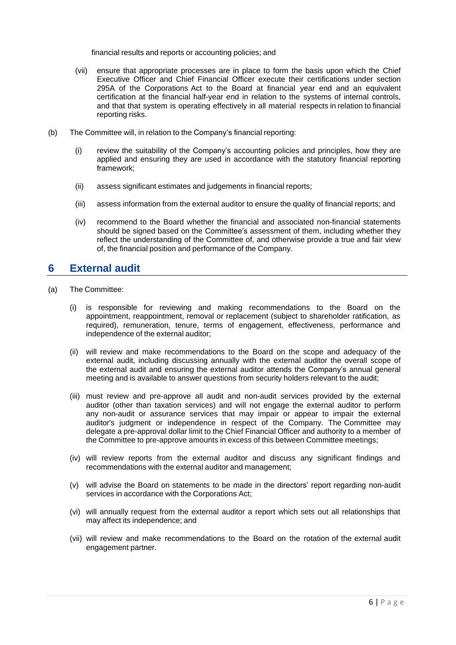financial results and reports or accounting policies; and

- (vii) ensure that appropriate processes are in place to form the basis upon which the Chief Executive Officer and Chief Financial Officer execute their certifications under section 295A of the Corporations Act to the Board at financial year end and an equivalent certification at the financial half-year end in relation to the systems of internal controls, and that that system is operating effectively in all material respects in relation to financial reporting risks.
- (b) The Committee will, in relation to the Company's financial reporting:
	- (i) review the suitability of the Company's accounting policies and principles, how they are applied and ensuring they are used in accordance with the statutory financial reporting framework;
	- (ii) assess significant estimates and judgements in financial reports;
	- (iii) assess information from the external auditor to ensure the quality of financial reports; and
	- (iv) recommend to the Board whether the financial and associated non-financial statements should be signed based on the Committee's assessment of them, including whether they reflect the understanding of the Committee of, and otherwise provide a true and fair view of, the financial position and performance of the Company.

## **6 External audit**

- (a) The Committee:
	- (i) is responsible for reviewing and making recommendations to the Board on the appointment, reappointment, removal or replacement (subject to shareholder ratification, as required), remuneration, tenure, terms of engagement, effectiveness, performance and independence of the external auditor;
	- (ii) will review and make recommendations to the Board on the scope and adequacy of the external audit, including discussing annually with the external auditor the overall scope of the external audit and ensuring the external auditor attends the Company's annual general meeting and is available to answer questions from security holders relevant to the audit;
	- (iii) must review and pre-approve all audit and non-audit services provided by the external auditor (other than taxation services) and will not engage the external auditor to perform any non-audit or assurance services that may impair or appear to impair the external auditor's judgment or independence in respect of the Company. The Committee may delegate a pre-approval dollar limit to the Chief Financial Officer and authority to a member of the Committee to pre-approve amounts in excess of this between Committee meetings;
	- (iv) will review reports from the external auditor and discuss any significant findings and recommendations with the external auditor and management;
	- (v) will advise the Board on statements to be made in the directors' report regarding non-audit services in accordance with the Corporations Act;
	- (vi) will annually request from the external auditor a report which sets out all relationships that may affect its independence; and
	- (vii) will review and make recommendations to the Board on the rotation of the external audit engagement partner.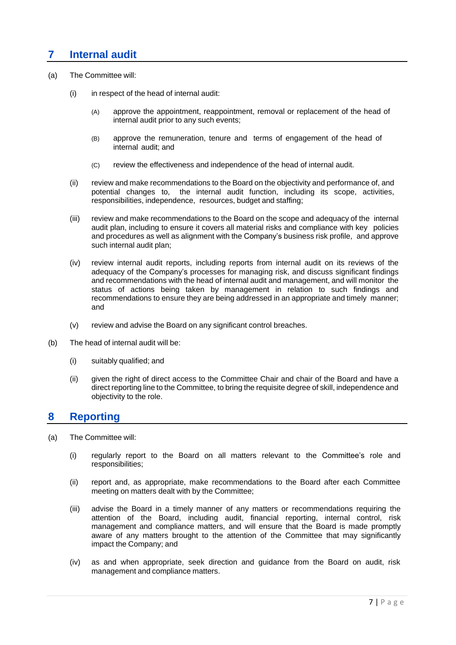## **7 Internal audit**

- (a) The Committee will:
	- (i) in respect of the head of internal audit:
		- (A) approve the appointment, reappointment, removal or replacement of the head of internal audit prior to any such events;
		- (B) approve the remuneration, tenure and terms of engagement of the head of internal audit; and
		- (C) review the effectiveness and independence of the head of internal audit.
	- (ii) review and make recommendations to the Board on the objectivity and performance of, and potential changes to, the internal audit function, including its scope, activities, responsibilities, independence, resources, budget and staffing;
	- (iii) review and make recommendations to the Board on the scope and adequacy of the internal audit plan, including to ensure it covers all material risks and compliance with key policies and procedures as well as alignment with the Company's business risk profile, and approve such internal audit plan;
	- (iv) review internal audit reports, including reports from internal audit on its reviews of the adequacy of the Company's processes for managing risk, and discuss significant findings and recommendations with the head of internal audit and management, and will monitor the status of actions being taken by management in relation to such findings and recommendations to ensure they are being addressed in an appropriate and timely manner; and
	- (v) review and advise the Board on any significant control breaches.
- (b) The head of internal audit will be:
	- (i) suitably qualified; and
	- (ii) given the right of direct access to the Committee Chair and chair of the Board and have a direct reporting line to the Committee, to bring the requisite degree of skill, independence and objectivity to the role.

#### **8 Reporting**

- (a) The Committee will:
	- (i) regularly report to the Board on all matters relevant to the Committee's role and responsibilities;
	- (ii) report and, as appropriate, make recommendations to the Board after each Committee meeting on matters dealt with by the Committee;
	- (iii) advise the Board in a timely manner of any matters or recommendations requiring the attention of the Board, including audit, financial reporting, internal control, risk management and compliance matters, and will ensure that the Board is made promptly aware of any matters brought to the attention of the Committee that may significantly impact the Company; and
	- (iv) as and when appropriate, seek direction and guidance from the Board on audit, risk management and compliance matters.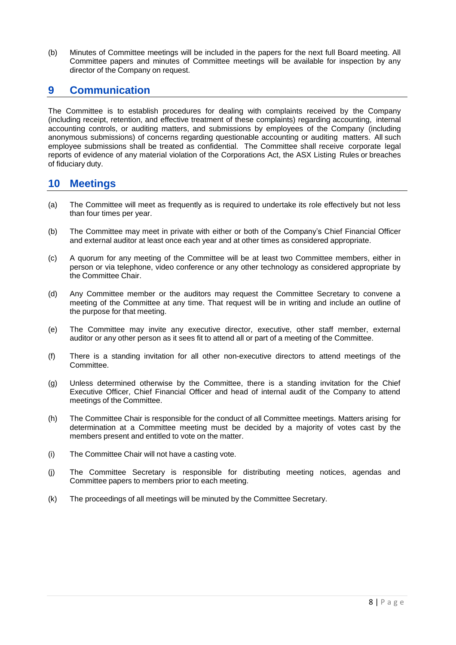(b) Minutes of Committee meetings will be included in the papers for the next full Board meeting. All Committee papers and minutes of Committee meetings will be available for inspection by any director of the Company on request.

#### **9 Communication**

The Committee is to establish procedures for dealing with complaints received by the Company (including receipt, retention, and effective treatment of these complaints) regarding accounting, internal accounting controls, or auditing matters, and submissions by employees of the Company (including anonymous submissions) of concerns regarding questionable accounting or auditing matters. All such employee submissions shall be treated as confidential. The Committee shall receive corporate legal reports of evidence of any material violation of the Corporations Act, the ASX Listing Rules or breaches of fiduciary duty.

## **10 Meetings**

- (a) The Committee will meet as frequently as is required to undertake its role effectively but not less than four times per year.
- (b) The Committee may meet in private with either or both of the Company's Chief Financial Officer and external auditor at least once each year and at other times as considered appropriate.
- (c) A quorum for any meeting of the Committee will be at least two Committee members, either in person or via telephone, video conference or any other technology as considered appropriate by the Committee Chair.
- (d) Any Committee member or the auditors may request the Committee Secretary to convene a meeting of the Committee at any time. That request will be in writing and include an outline of the purpose for that meeting.
- (e) The Committee may invite any executive director, executive, other staff member, external auditor or any other person as it sees fit to attend all or part of a meeting of the Committee.
- (f) There is a standing invitation for all other non-executive directors to attend meetings of the Committee.
- (g) Unless determined otherwise by the Committee, there is a standing invitation for the Chief Executive Officer, Chief Financial Officer and head of internal audit of the Company to attend meetings of the Committee.
- (h) The Committee Chair is responsible for the conduct of all Committee meetings. Matters arising for determination at a Committee meeting must be decided by a majority of votes cast by the members present and entitled to vote on the matter.
- (i) The Committee Chair will not have a casting vote.
- (j) The Committee Secretary is responsible for distributing meeting notices, agendas and Committee papers to members prior to each meeting.
- (k) The proceedings of all meetings will be minuted by the Committee Secretary.